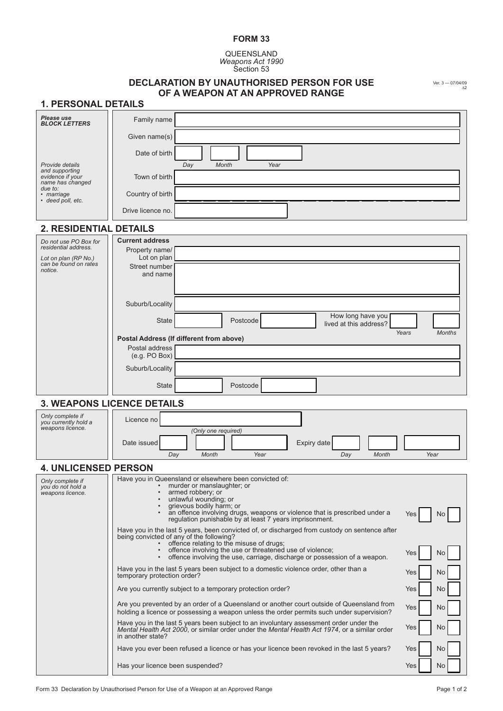## **FORM 33**

Queensland *Weapons Act 1990* Section 53

## **Declaration by unauthorised person for use**

Ver. 3 — 07/04/09 ∆2

| OF A WEAPON AT AN APPROVED RANGE<br><b>1. PERSONAL DETAILS</b> |                                                                                                                                                                                                                           |  |
|----------------------------------------------------------------|---------------------------------------------------------------------------------------------------------------------------------------------------------------------------------------------------------------------------|--|
| Please use                                                     |                                                                                                                                                                                                                           |  |
| <b>BLOCK LETTERS</b>                                           | Family name                                                                                                                                                                                                               |  |
|                                                                | Given name(s)                                                                                                                                                                                                             |  |
| Provide details                                                | Date of birth<br>Month<br>Year                                                                                                                                                                                            |  |
| and supporting<br>evidence if your                             | Day<br>Town of birth                                                                                                                                                                                                      |  |
| name has changed<br>due to:<br>· marriage                      | Country of birth                                                                                                                                                                                                          |  |
| • deed poll, etc.                                              | Drive licence no.                                                                                                                                                                                                         |  |
| 2. RESIDENTIAL DETAILS                                         |                                                                                                                                                                                                                           |  |
| Do not use PO Box for                                          | <b>Current address</b>                                                                                                                                                                                                    |  |
| residential address.                                           | Property name/<br>Lot on plan                                                                                                                                                                                             |  |
| Lot on plan (RP No.)<br>can be found on rates<br>notice.       | Street number                                                                                                                                                                                                             |  |
|                                                                | and name                                                                                                                                                                                                                  |  |
|                                                                |                                                                                                                                                                                                                           |  |
|                                                                | Suburb/Locality                                                                                                                                                                                                           |  |
|                                                                | How long have you<br><b>State</b><br>Postcode<br>lived at this address?                                                                                                                                                   |  |
|                                                                | Years<br><b>Months</b><br>Postal Address (If different from above)                                                                                                                                                        |  |
|                                                                | Postal address<br>(e.g. PO Box)                                                                                                                                                                                           |  |
|                                                                | Suburb/Locality                                                                                                                                                                                                           |  |
|                                                                | <b>State</b><br>Postcode                                                                                                                                                                                                  |  |
|                                                                | <b>3. WEAPONS LICENCE DETAILS</b>                                                                                                                                                                                         |  |
| Only complete if<br>you currently hold a                       | Licence no                                                                                                                                                                                                                |  |
| weapons licence.                                               | (Only one required)                                                                                                                                                                                                       |  |
|                                                                | Expiry date<br>Date issued                                                                                                                                                                                                |  |
| <b>4. UNLICENSED PERSON</b>                                    | Year<br>Day<br>Month<br>Year<br>Month<br>Day                                                                                                                                                                              |  |
| Only complete if                                               | Have you in Queensland or elsewhere been convicted of:                                                                                                                                                                    |  |
| you do not hold a<br>weapons licence.                          | murder or manslaughter; or<br>armed robbery; or<br>$\bullet$                                                                                                                                                              |  |
|                                                                | unlawful wounding; or<br>$\bullet$<br>grievous bodily harm; or                                                                                                                                                            |  |
|                                                                | an offence involving drugs, weapons or violence that is prescribed under a<br>$\bullet$<br>Yes<br>N <sub>o</sub><br>regulation punishable by at least 7 years imprisonment.                                               |  |
|                                                                | Have you in the last 5 years, been convicted of, or discharged from custody on sentence after<br>being convicted of any of the following?                                                                                 |  |
|                                                                | • offence relating to the misuse of drugs;<br>• offence involving the use or threatened use of violence;                                                                                                                  |  |
|                                                                | Yes<br>N <sub>o</sub><br>offence involving the use, carriage, discharge or possession of a weapon.<br>$\bullet$                                                                                                           |  |
|                                                                | Have you in the last 5 years been subject to a domestic violence order, other than a<br>Yes<br>N <sub>o</sub><br>temporary protection order?                                                                              |  |
|                                                                | Are you currently subject to a temporary protection order?<br>Yes<br>No                                                                                                                                                   |  |
|                                                                | Are you prevented by an order of a Queensland or another court outside of Queensland from<br>Yes<br>No<br>holding a licence or possessing a weapon unless the order permits such under supervision?                       |  |
|                                                                | Have you in the last 5 years been subject to an involuntary assessment order under the<br>No<br>Yes<br>Mental Health Act 2000, or similar order under the Mental Health Act 1974, or a similar order<br>in another state? |  |
|                                                                | Have you ever been refused a licence or has your licence been revoked in the last 5 years?<br>No<br>Yes                                                                                                                   |  |
|                                                                | Has your licence been suspended?<br>Yes<br>No                                                                                                                                                                             |  |